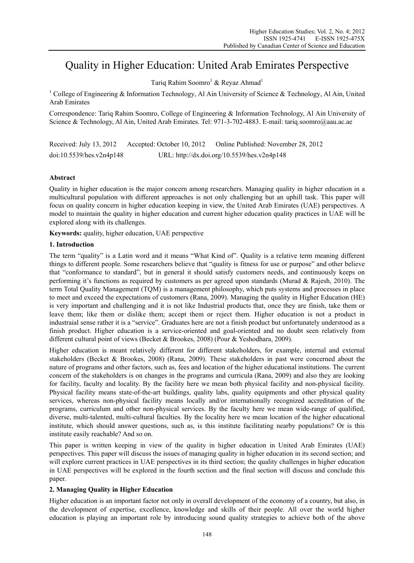# Quality in Higher Education: United Arab Emirates Perspective

Tariq Rahim Soomro $^1$  & Reyaz Ahmad<sup>1</sup>

<sup>1</sup> College of Engineering & Information Technology, Al Ain University of Science & Technology, Al Ain, United Arab Emirates

Correspondence: Tariq Rahim Soomro, College of Engineering & Information Technology, Al Ain University of Science & Technology, Al Ain, United Arab Emirates. Tel: 971-3-702-4883. E-mail: tariq.soomro@aau.ac.ae

Received: July 13, 2012 Accepted: October 10, 2012 Online Published: November 28, 2012 doi:10.5539/hes.v2n4p148 URL: http://dx.doi.org/10.5539/hes.v2n4p148

## **Abstract**

Quality in higher education is the major concern among researchers. Managing quality in higher education in a multicultural population with different approaches is not only challenging but an uphill task. This paper will focus on quality concern in higher education keeping in view, the United Arab Emirates (UAE) perspectives. A model to maintain the quality in higher education and current higher education quality practices in UAE will be explored along with its challenges.

**Keywords:** quality, higher education, UAE perspective

## **1. Introduction**

The term "quality" is a Latin word and it means "What Kind of". Quality is a relative term meaning different things to different people. Some researchers believe that "quality is fitness for use or purpose" and other believe that "conformance to standard", but in general it should satisfy customers needs, and continuously keeps on performing it's functions as required by customers as per agreed upon standards (Murad & Rajesh, 2010). The term Total Quality Management (TQM) is a management philosophy, which puts systems and processes in place to meet and exceed the expectations of customers (Rana, 2009). Managing the quality in Higher Education (HE) is very important and challenging and it is not like Industrial products that, once they are finish, take them or leave them; like them or dislike them; accept them or reject them. Higher education is not a product in industraial sense rather it is a "service". Graduates here are not a finish product but unfortunately understood as a finish product. Higher education is a service-oriented and goal-oriented and no doubt seen relatively from different cultural point of views (Becket & Brookes, 2008) (Pour & Yeshodhara, 2009).

Higher education is meant relatively different for different stakeholders, for example, internal and external stakeholders (Becket & Brookes, 2008) (Rana, 2009). These stakeholders in past were concerned about the nature of programs and other factors, such as, fees and location of the higher educational institutions. The current concern of the stakeholders is on changes in the programs and curricula (Rana, 2009) and also they are looking for facility, faculty and locality. By the facility here we mean both physical facility and non-physical facility. Physical facility means state-of-the-art buildings, quality labs, quality equipments and other physical quality services, whereas non-physical facility means locally and/or internationally recognized accreditation of the programs, curriculum and other non-physical services. By the faculty here we mean wide-range of qualified, diverse, multi-talented, multi-cultural faculties. By the locality here we mean location of the higher educational institute, which should answer questions, such as, is this institute facilitating nearby populations? Or is this institute easily reachable? And so on.

This paper is written keeping in view of the quality in higher education in United Arab Emirates (UAE) perspectives. This paper will discuss the issues of managing quality in higher education in its second section; and will explore current practices in UAE perspectives in its third section; the quality challenges in higher education in UAE perspectives will be explored in the fourth section and the final section will discuss and conclude this paper.

## **2. Managing Quality in Higher Education**

Higher education is an important factor not only in overall development of the economy of a country, but also, in the development of expertise, excellence, knowledge and skills of their people. All over the world higher education is playing an important role by introducing sound quality strategies to achieve both of the above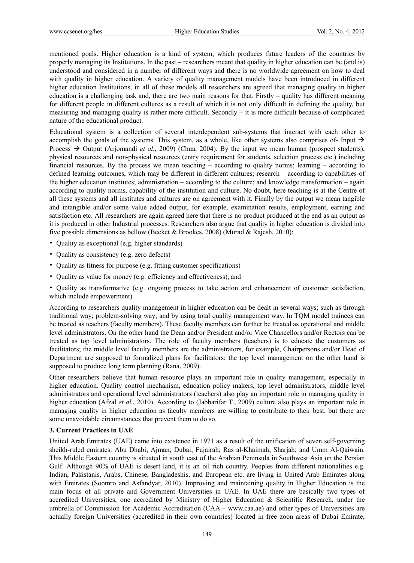mentioned goals. Higher education is a kind of system, which produces future leaders of the countries by properly managing its Institutions. In the past – researchers meant that quality in higher education can be (and is) understood and considered in a number of different ways and there is no worldwide agreement on how to deal with quality in higher education. A variety of quality management models have been introduced in different higher education Institutions, in all of these models all researchers are agreed that managing quality in higher education is a challenging task and, there are two main reasons for that. Firstly – quality has different meaning for different people in different cultures as a result of which it is not only difficult in defining the quality, but measuring and managing quality is rather more difficult. Secondly – it is more difficult because of complicated nature of the educational product.

Educational system is a collection of several interdependent sub-systems that interact with each other to accomplish the goals of the systems. This system, as a whole, like other systems also comprises of- Input  $\rightarrow$ Process  $\rightarrow$  Output (Arjomandi *et al.*, 2009) (Chua, 2004). By the input we mean human (prospect students), physical resources and non-physical resources (entry requirement for students, selection process etc.) including financial resources. By the process we mean teaching – according to quality norms; learning – according to defined learning outcomes, which may be different in different cultures; research – according to capabilities of the higher education institutes; administration – according to the culture; and knowledge transformation – again according to quality norms, capability of the institution and culture. No doubt, here teaching is at the Centre of all these systems and all institutes and cultures are on agreement with it. Finally by the output we mean tangible and intangible and/or some value added output, for example, examination results, employment, earning and satisfaction etc. All researchers are again agreed here that there is no product produced at the end as an output as it is produced in other Industrial processes. Researchers also argue that quality in higher education is divided into five possible dimensions as bellow (Becket & Brookes, 2008) (Murad & Rajesh, 2010):

- Quality as exceptional (e.g. higher standards)
- Quality as consistency (e.g. zero defects)
- Quality as fitness for purpose (e.g. fitting customer specifications)
- Quality as value for money (e.g. efficiency and effectiveness), and
- Quality as transformative (e.g. ongoing process to take action and enhancement of customer satisfaction, which include empowerment)

According to researchers quality management in higher education can be dealt in several ways; such as through traditional way; problem-solving way; and by using total quality management way. In TQM model trainees can be treated as teachers (faculty members). These faculty members can further be treated as operational and middle level administrators. On the other hand the Dean and/or President and/or Vice Chancellors and/or Rectors can be treated as top level administrators. The role of faculty members (teachers) is to educate the customers as facilitators; the middle level faculty members are the administrators, for example, Chairpersons and/or Head of Department are supposed to formalized plans for facilitators; the top level management on the other hand is supposed to produce long term planning (Rana, 2009).

Other researchers believe that human resource plays an important role in quality management, especially in higher education. Quality control mechanism, education policy makers, top level administrators, middle level administrators and operational level administrators (teachers) also play an important role in managing quality in higher education (Afzal *et al.*, 2010). According to (Jabbarifar T., 2009) culture also plays an important role in managing quality in higher education as faculty members are willing to contribute to their best, but there are some unavoidable circumstances that prevent them to do so.

#### **3. Current Practices in UAE**

United Arab Emirates (UAE) came into existence in 1971 as a result of the unification of seven self-governing sheikh-ruled emirates: Abu Dhabi; Ajman; Dubai; Fujairah; Ras al-Khaimah; Sharjah; and Umm Al-Qaiwain. This Middle Eastern country is situated in south east of the Arabian Peninsula in Southwest Asia on the Persian Gulf. Although 90% of UAE is desert land, it is an oil rich country. Peoples from different nationalities e.g. Indian, Pakistanis, Arabs, Chinese, Bangladeshis, and European etc. are living in United Arab Emirates along with Emirates (Soomro and Asfandyar, 2010). Improving and maintaining quality in Higher Education is the main focus of all private and Government Universities in UAE. In UAE there are basically two types of accredited Universities, one accredited by Ministry of Higher Education & Scientific Research, under the umbrella of Commission for Academic Accreditation (CAA – www.caa.ae) and other types of Universities are actually foreign Universities (accredited in their own countries) located in free zoon areas of Dubai Emirate,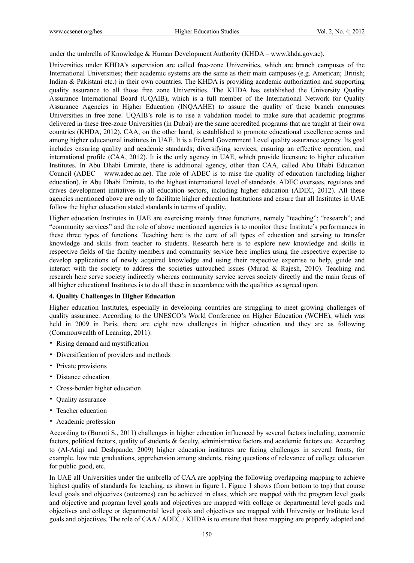under the umbrella of Knowledge & Human Development Authority (KHDA – www.khda.gov.ae).

Universities under KHDA's supervision are called free-zone Universities, which are branch campuses of the International Universities; their academic systems are the same as their main campuses (e.g. American; British; Indian & Pakistani etc.) in their own countries. The KHDA is providing academic authorization and supporting quality assurance to all those free zone Universities. The KHDA has established the University Quality Assurance International Board (UQAIB), which is a full member of the International Network for Quality Assurance Agencies in Higher Education (INQAAHE) to assure the quality of these branch campuses Universities in free zone. UQAIB's role is to use a validation model to make sure that academic programs delivered in these free-zone Universities (in Dubai) are the same accredited programs that are taught at their own countries (KHDA, 2012). CAA, on the other hand, is established to promote educational excellence across and among higher educational institutes in UAE. It is a Federal Government Level quality assurance agency. Its goal includes ensuring quality and academic standards; diversifying services; ensuring an effective operation; and international profile (CAA, 2012). It is the only agency in UAE, which provide licensure to higher education Institutes. In Abu Dhabi Emirate, there is additional agency, other than CAA, called Abu Dhabi Education Council (ADEC – www.adec.ac.ae). The role of ADEC is to raise the quality of education (including higher education), in Abu Dhabi Emirate, to the highest international level of standards. ADEC oversees, regulates and drives development initiatives in all education sectors, including higher education (ADEC, 2012). All these agencies mentioned above are only to facilitate higher education Institutions and ensure that all Institutes in UAE follow the higher education stated standards in terms of quality.

Higher education Institutes in UAE are exercising mainly three functions, namely "teaching"; "research"; and "community services" and the role of above mentioned agencies is to monitor these Institute's performances in these three types of functions. Teaching here is the core of all types of education and serving to transfer knowledge and skills from teacher to students. Research here is to explore new knowledge and skills in respective fields of the faculty members and community service here implies using the respective expertise to develop applications of newly acquired knowledge and using their respective expertise to help, guide and interact with the society to address the societies untouched issues (Murad & Rajesh, 2010). Teaching and research here serve society indirectly whereas community service serves society directly and the main focus of all higher educational Institutes is to do all these in accordance with the qualities as agreed upon.

#### **4. Quality Challenges in Higher Education**

Higher education Institutes, especially in developing countries are struggling to meet growing challenges of quality assurance. According to the UNESCO's World Conference on Higher Education (WCHE), which was held in 2009 in Paris, there are eight new challenges in higher education and they are as following (Commonwealth of Learning, 2011):

- Rising demand and mystification
- Diversification of providers and methods
- Private provisions
- Distance education
- Cross-border higher education
- Quality assurance
- Teacher education
- Academic profession

According to (Bunoti S., 2011) challenges in higher education influenced by several factors including, economic factors, political factors, quality of students & faculty, administrative factors and academic factors etc. According to (Al-Atiqi and Deshpande, 2009) higher education institutes are facing challenges in several fronts, for example, low rate graduations, apprehension among students, rising questions of relevance of college education for public good, etc.

In UAE all Universities under the umbrella of CAA are applying the following overlapping mapping to achieve highest quality of standards for teaching, as shown in figure 1. Figure 1 shows (from bottom to top) that course level goals and objectives (outcomes) can be achieved in class, which are mapped with the program level goals and objective and program level goals and objectives are mapped with college or departmental level goals and objectives and college or departmental level goals and objectives are mapped with University or Institute level goals and objectives. The role of CAA / ADEC / KHDA is to ensure that these mapping are properly adopted and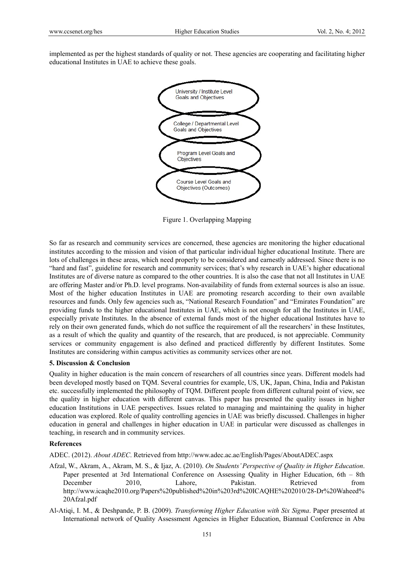implemented as per the highest standards of quality or not. These agencies are cooperating and facilitating higher educational Institutes in UAE to achieve these goals.



Figure 1. Overlapping Mapping

So far as research and community services are concerned, these agencies are monitoring the higher educational institutes according to the mission and vision of that particular individual higher educational Institute. There are lots of challenges in these areas, which need properly to be considered and earnestly addressed. Since there is no "hard and fast", guideline for research and community services; that's why research in UAE's higher educational Institutes are of diverse nature as compared to the other countries. It is also the case that not all Institutes in UAE are offering Master and/or Ph.D. level programs. Non-availability of funds from external sources is also an issue. Most of the higher education Institutes in UAE are promoting research according to their own available resources and funds. Only few agencies such as, "National Research Foundation" and "Emirates Foundation" are providing funds to the higher educational Institutes in UAE, which is not enough for all the Institutes in UAE, especially private Institutes. In the absence of external funds most of the higher educational Institutes have to rely on their own generated funds, which do not suffice the requirement of all the researchers' in these Institutes, as a result of which the quality and quantity of the research, that are produced, is not appreciable. Community services or community engagement is also defined and practiced differently by different Institutes. Some Institutes are considering within campus activities as community services other are not.

#### **5. Discussion & Conclusion**

Quality in higher education is the main concern of researchers of all countries since years. Different models had been developed mostly based on TQM. Several countries for example, US, UK, Japan, China, India and Pakistan etc. successfully implemented the philosophy of TQM. Different people from different cultural point of view, see the quality in higher education with different canvas. This paper has presented the quality issues in higher education Institutions in UAE perspectives. Issues related to managing and maintaining the quality in higher education was explored. Role of quality controlling agencies in UAE was briefly discussed. Challenges in higher education in general and challenges in higher education in UAE in particular were discussed as challenges in teaching, in research and in community services.

#### **References**

ADEC. (2012). *About ADEC*. Retrieved from http://www.adec.ac.ae/English/Pages/AboutADEC.aspx

- Afzal, W., Akram, A., Akram, M. S., & Ijaz, A. (2010). *On Students' Perspective of Quality in Higher Education*. Paper presented at 3rd International Conference on Assessing Quality in Higher Education, 6th – 8th December 2010, Lahore, Pakistan. Retrieved from http://www.icaqhe2010.org/Papers%20published%20in%203rd%20ICAQHE%202010/28-Dr%20Waheed% 20Afzal.pdf
- Al-Atiqi, I. M., & Deshpande, P. B. (2009). *Transforming Higher Education with Six Sigma*. Paper presented at International network of Quality Assessment Agencies in Higher Education, Biannual Conference in Abu